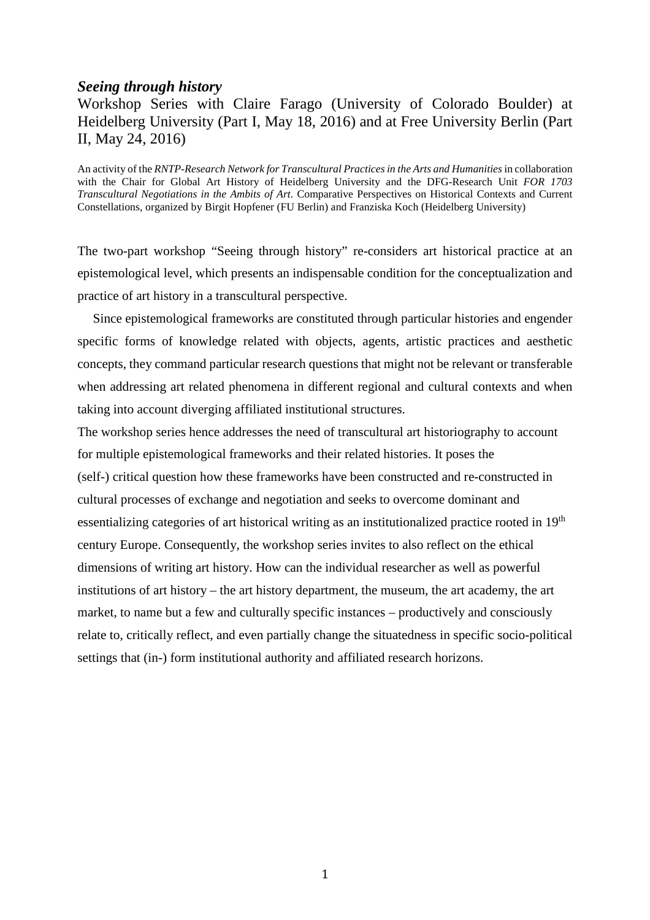#### *Seeing through history*

# Workshop Series with Claire Farago (University of Colorado Boulder) at Heidelberg University (Part I, May 18, 2016) and at Free University Berlin (Part II, May 24, 2016)

An activity of the *RNTP-Research Network for Transcultural Practices in the Arts and Humanities*in collaboration with the Chair for Global Art History of Heidelberg University and the DFG-Research Unit *FOR 1703 Transcultural Negotiations in the Ambits of Art*. Comparative Perspectives on Historical Contexts and Current Constellations, organized by Birgit Hopfener (FU Berlin) and Franziska Koch (Heidelberg University)

The two-part workshop "Seeing through history" re-considers art historical practice at an epistemological level, which presents an indispensable condition for the conceptualization and practice of art history in a transcultural perspective.

Since epistemological frameworks are constituted through particular histories and engender specific forms of knowledge related with objects, agents, artistic practices and aesthetic concepts, they command particular research questions that might not be relevant or transferable when addressing art related phenomena in different regional and cultural contexts and when taking into account diverging affiliated institutional structures.

The workshop series hence addresses the need of transcultural art historiography to account for multiple epistemological frameworks and their related histories. It poses the (self-) critical question how these frameworks have been constructed and re-constructed in cultural processes of exchange and negotiation and seeks to overcome dominant and essentializing categories of art historical writing as an institutionalized practice rooted in 19<sup>th</sup> century Europe. Consequently, the workshop series invites to also reflect on the ethical dimensions of writing art history. How can the individual researcher as well as powerful institutions of art history – the art history department, the museum, the art academy, the art market, to name but a few and culturally specific instances – productively and consciously relate to, critically reflect, and even partially change the situatedness in specific socio-political settings that (in-) form institutional authority and affiliated research horizons.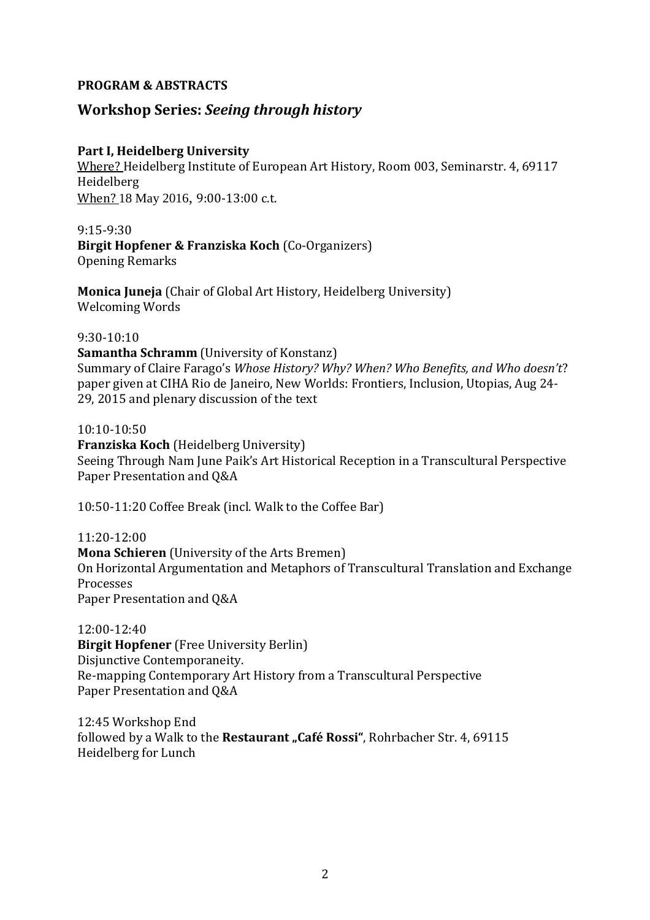## **PROGRAM & ABSTRACTS**

# **Workshop Series:** *Seeing through history*

## **Part I, Heidelberg University**

Where? Heidelberg Institute of European Art History, Room 003, Seminarstr. 4, 69117 Heidelberg When? 18 May 2016, 9:00-13:00 c.t.

9:15-9:30 **Birgit Hopfener & Franziska Koch** (Co-Organizers) Opening Remarks

**Monica Juneja** (Chair of Global Art History, Heidelberg University) Welcoming Words

#### 9:30-10:10

**Samantha Schramm** (University of Konstanz) Summary of Claire Farago's *Whose History? Why? When? Who Benefits, and Who doesn't*? paper given at CIHA Rio de Janeiro, New Worlds: Frontiers, Inclusion, Utopias, Aug 24- 29, 2015 and plenary discussion of the text

10:10-10:50

**Franziska Koch** (Heidelberg University) Seeing Through Nam June Paik's Art Historical Reception in a Transcultural Perspective Paper Presentation and Q&A

10:50-11:20 Coffee Break (incl. Walk to the Coffee Bar)

11:20-12:00 **Mona Schieren** (University of the Arts Bremen) On Horizontal Argumentation and Metaphors of Transcultural Translation and Exchange Processes Paper Presentation and Q&A

12:00-12:40 **Birgit Hopfener** (Free University Berlin) Disjunctive Contemporaneity. Re-mapping Contemporary Art History from a Transcultural Perspective Paper Presentation and Q&A

12:45 Workshop End followed by a Walk to the Restaurant "Café Rossi", Rohrbacher Str. 4, 69115 Heidelberg for Lunch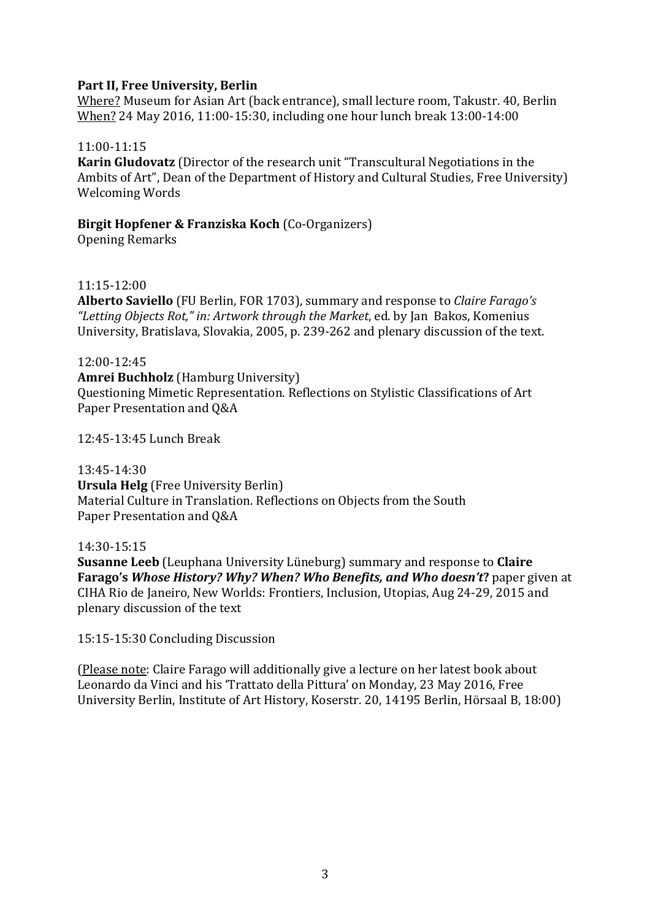## **Part II, Free University, Berlin**

Where? Museum for Asian Art (back entrance), small lecture room, Takustr. 40, Berlin When? 24 May 2016, 11:00-15:30, including one hour lunch break 13:00-14:00

## 11:00-11:15

**Karin Gludovatz** (Director of the research unit "Transcultural Negotiations in the Ambits of Art", Dean of the Department of History and Cultural Studies, Free University) Welcoming Words

## **Birgit Hopfener & Franziska Koch** (Co-Organizers)

Opening Remarks

### 11:15-12:00

**Alberto Saviello** (FU Berlin, FOR 1703), summary and response to *Claire Farago's "Letting Objects Rot," in: Artwork through the Market*, ed. by Jan Bakos, Komenius University, Bratislava, Slovakia, 2005, p. 239-262 and plenary discussion of the text.

### 12:00-12:45

**Amrei Buchholz** (Hamburg University) Questioning Mimetic Representation. Reflections on Stylistic Classifications of Art Paper Presentation and Q&A

12:45-13:45 Lunch Break

13:45-14:30 **Ursula Helg** (Free University Berlin) Material Culture in Translation. Reflections on Objects from the South Paper Presentation and Q&A

#### 14:30-15:15

**Susanne Leeb** (Leuphana University Lüneburg) summary and response to **Claire Farago's** *Whose History? Why? When? Who Benefits, and Who doesn't***?** paper given at CIHA Rio de Janeiro, New Worlds: Frontiers, Inclusion, Utopias, Aug 24-29, 2015 and plenary discussion of the text

15:15-15:30 Concluding Discussion

(Please note: Claire Farago will additionally give a lecture on her latest book about Leonardo da Vinci and his 'Trattato della Pittura' on Monday, 23 May 2016, Free University Berlin, Institute of Art History, Koserstr. 20, 14195 Berlin, Hörsaal B, 18:00)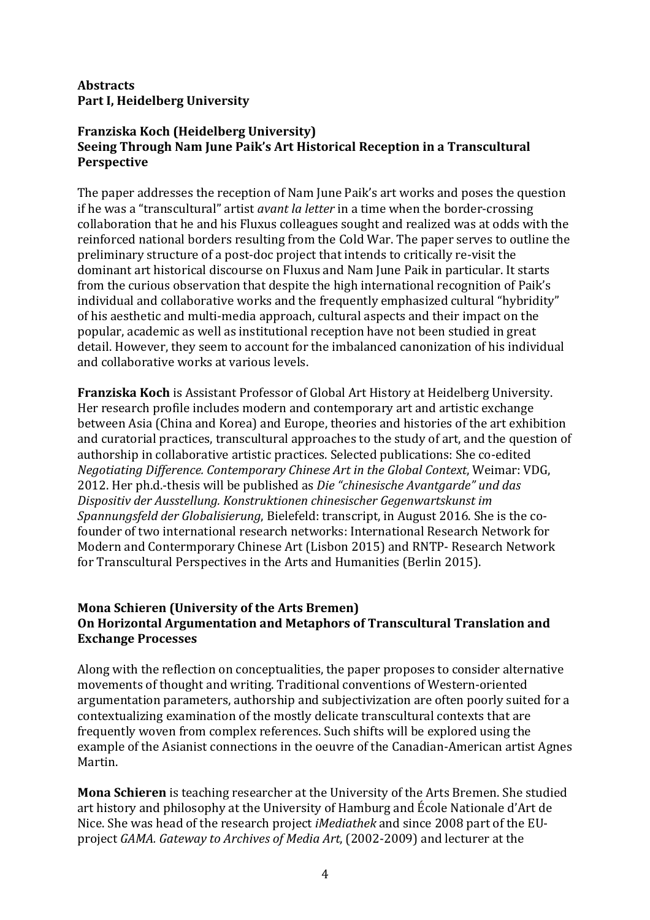# **Abstracts Part I, Heidelberg University**

## **Franziska Koch (Heidelberg University) Seeing Through Nam June Paik's Art Historical Reception in a Transcultural Perspective**

The paper addresses the reception of Nam June Paik's art works and poses the question if he was a "transcultural" artist *avant la letter* in a time when the border-crossing collaboration that he and his Fluxus colleagues sought and realized was at odds with the reinforced national borders resulting from the Cold War. The paper serves to outline the preliminary structure of a post-doc project that intends to critically re-visit the dominant art historical discourse on Fluxus and Nam June Paik in particular. It starts from the curious observation that despite the high international recognition of Paik's individual and collaborative works and the frequently emphasized cultural "hybridity" of his aesthetic and multi-media approach, cultural aspects and their impact on the popular, academic as well as institutional reception have not been studied in great detail. However, they seem to account for the imbalanced canonization of his individual and collaborative works at various levels.

**Franziska Koch** is Assistant Professor of Global Art History at Heidelberg University. Her research profile includes modern and contemporary art and artistic exchange between Asia (China and Korea) and Europe, theories and histories of the art exhibition and curatorial practices, transcultural approaches to the study of art, and the question of authorship in collaborative artistic practices. Selected publications: She co-edited *Negotiating Difference. Contemporary Chinese Art in the Global Context*, Weimar: VDG, 2012. Her ph.d.-thesis will be published as *Die "chinesische Avantgarde" und das Dispositiv der Ausstellung. Konstruktionen chinesischer Gegenwartskunst im Spannungsfeld der Globalisierung*, Bielefeld: transcript, in August 2016. She is the cofounder of two international research networks: International Research Network for Modern and Contermporary Chinese Art (Lisbon 2015) and RNTP- Research Network for Transcultural Perspectives in the Arts and Humanities (Berlin 2015).

# **Mona Schieren (University of the Arts Bremen) On Horizontal Argumentation and Metaphors of Transcultural Translation and Exchange Processes**

Along with the reflection on conceptualities, the paper proposes to consider alternative movements of thought and writing. Traditional conventions of Western-oriented argumentation parameters, authorship and subjectivization are often poorly suited for a contextualizing examination of the mostly delicate transcultural contexts that are frequently woven from complex references. Such shifts will be explored using the example of the Asianist connections in the oeuvre of the Canadian-American artist Agnes Martin.

**Mona Schieren** is teaching researcher at the University of the Arts Bremen. She studied art history and philosophy at the University of Hamburg and École Nationale d'Art de Nice. She was head of the research project *iMediathek* and since 2008 part of the EUproject *GAMA. Gateway to Archives of Media Art*, (2002-2009) and lecturer at the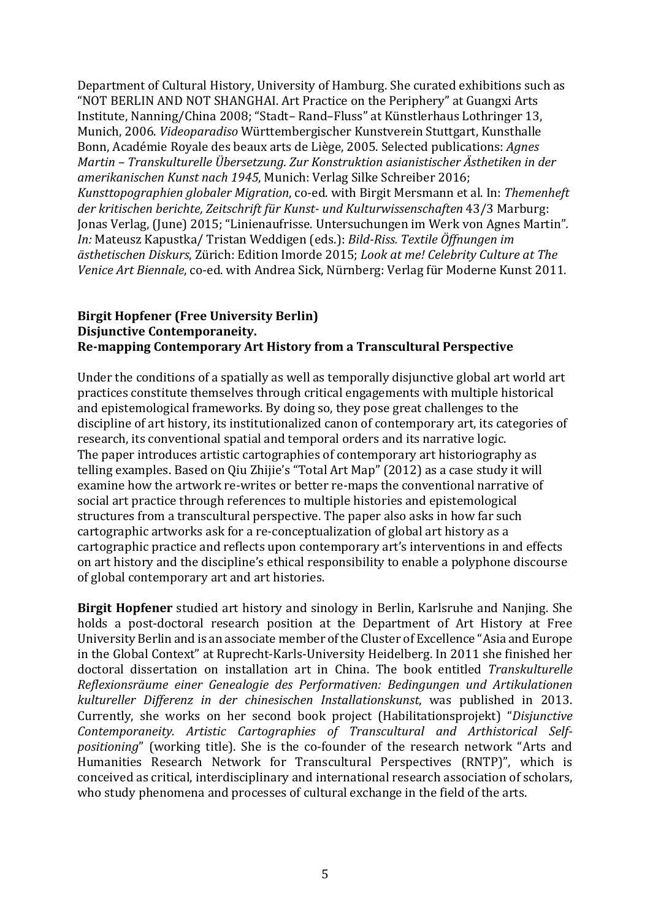Department of Cultural History, University of Hamburg. She curated exhibitions such as "NOT BERLIN AND NOT SHANGHAI. Art Practice on the Periphery" at Guangxi Arts Institute, Nanning/China 2008; "Stadt– Rand–Fluss" at Künstlerhaus Lothringer 13, Munich, 2006. *Videoparadiso* Württembergischer Kunstverein Stuttgart, Kunsthalle Bonn, Académie Royale des beaux arts de Liège, 2005. Selected publications: *Agnes Martin – Transkulturelle Übersetzung. Zur Konstruktion asianistischer Ästhetiken in der amerikanischen Kunst nach 1945*, Munich: Verlag Silke Schreiber 2016; *Kunsttopographien globaler Migration*, co-ed. with Birgit Mersmann et al. In: *Themenheft der kritischen berichte, Zeitschrift für Kunst- und Kulturwissenschaften* 43/3 Marburg: Jonas Verlag, (June) 2015; "Linienaufrisse. Untersuchungen im Werk von Agnes Martin"*. In:* Mateusz Kapustka/ Tristan Weddigen (eds.): *Bild-Riss. Textile Öffnungen im ästhetischen Diskurs*, Zürich: Edition Imorde 2015; *Look at me! Celebrity Culture at The Venice Art Biennale*, co-ed. with Andrea Sick, Nürnberg: Verlag für Moderne Kunst 2011*.*

## **Birgit Hopfener (Free University Berlin) Disjunctive Contemporaneity. Re-mapping Contemporary Art History from a Transcultural Perspective**

Under the conditions of a spatially as well as temporally disjunctive global art world art practices constitute themselves through critical engagements with multiple historical and epistemological frameworks. By doing so, they pose great challenges to the discipline of art history, its institutionalized canon of contemporary art, its categories of research, its conventional spatial and temporal orders and its narrative logic. The paper introduces artistic cartographies of contemporary art historiography as telling examples. Based on Qiu Zhijie's "Total Art Map" (2012) as a case study it will examine how the artwork re-writes or better re-maps the conventional narrative of social art practice through references to multiple histories and epistemological structures from a transcultural perspective. The paper also asks in how far such cartographic artworks ask for a re-conceptualization of global art history as a cartographic practice and reflects upon contemporary art's interventions in and effects on art history and the discipline's ethical responsibility to enable a polyphone discourse of global contemporary art and art histories.

**Birgit Hopfener** studied art history and sinology in Berlin, Karlsruhe and Nanjing. She holds a post-doctoral research position at the Department of Art History at Free University Berlin and is an associate member of the Cluster of Excellence "Asia and Europe in the Global Context" at Ruprecht-Karls-University Heidelberg. In 2011 she finished her doctoral dissertation on installation art in China. The book entitled *Transkulturelle Reflexionsräume einer Genealogie des Performativen: Bedingungen und Artikulationen kultureller Differenz in der chinesischen Installationskunst*, was published in 2013. Currently, she works on her second book project (Habilitationsprojekt) "*Disjunctive Contemporaneity. Artistic Cartographies of Transcultural and Arthistorical Selfpositioning*" (working title). She is the co-founder of the research network "Arts and Humanities Research Network for Transcultural Perspectives (RNTP)", which is conceived as critical, interdisciplinary and international research association of scholars, who study phenomena and processes of cultural exchange in the field of the arts.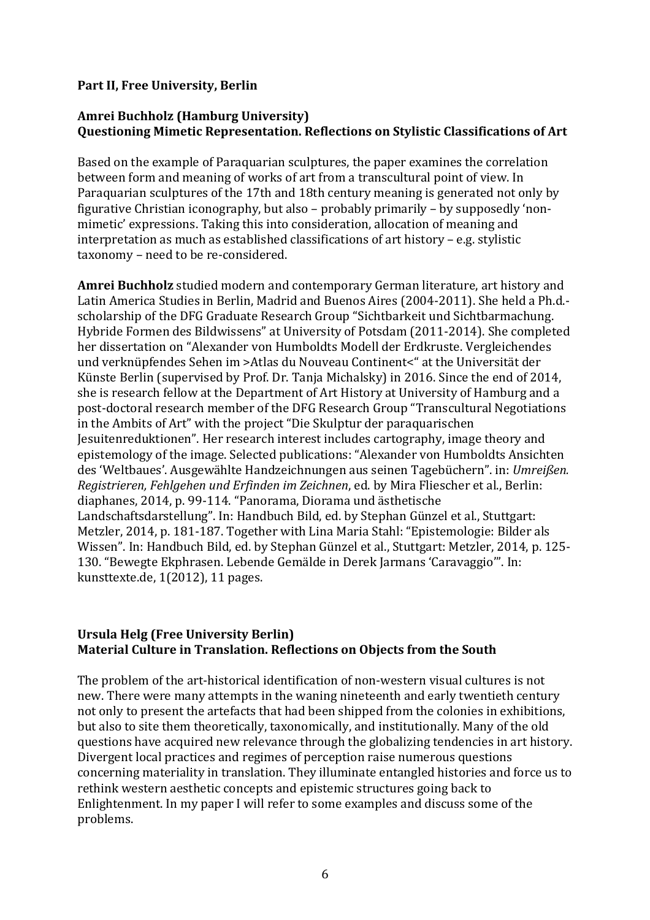## **Part II, Free University, Berlin**

## **Amrei Buchholz (Hamburg University) Questioning Mimetic Representation. Reflections on Stylistic Classifications of Art**

Based on the example of Paraquarian sculptures, the paper examines the correlation between form and meaning of works of art from a transcultural point of view. In Paraquarian sculptures of the 17th and 18th century meaning is generated not only by figurative Christian iconography, but also – probably primarily – by supposedly 'nonmimetic' expressions. Taking this into consideration, allocation of meaning and interpretation as much as established classifications of art history – e.g. stylistic taxonomy – need to be re-considered.

**Amrei Buchholz** studied modern and contemporary German literature, art history and Latin America Studies in Berlin, Madrid and Buenos Aires (2004-2011). She held a Ph.d. scholarship of the DFG Graduate Research Group "Sichtbarkeit und Sichtbarmachung. Hybride Formen des Bildwissens" at University of Potsdam (2011-2014). She completed her dissertation on "Alexander von Humboldts Modell der Erdkruste. Vergleichendes und verknüpfendes Sehen im >Atlas du Nouveau Continent<" at the Universität der Künste Berlin (supervised by Prof. Dr. Tanja Michalsky) in 2016. Since the end of 2014, she is research fellow at the Department of Art History at University of Hamburg and a post-doctoral research member of the DFG Research Group "Transcultural Negotiations in the Ambits of Art" with the project "Die Skulptur der paraquarischen Jesuitenreduktionen". Her research interest includes cartography, image theory and epistemology of the image. Selected publications: "Alexander von Humboldts Ansichten des 'Weltbaues'. Ausgewählte Handzeichnungen aus seinen Tagebüchern". in: *Umreißen. Registrieren, Fehlgehen und Erfinden im Zeichnen*, ed. by Mira Fliescher et al., Berlin: diaphanes, 2014, p. 99-114. "Panorama, Diorama und ästhetische Landschaftsdarstellung". In: Handbuch Bild, ed. by Stephan Günzel et al., Stuttgart: Metzler, 2014, p. 181-187. Together with Lina Maria Stahl: "Epistemologie: Bilder als Wissen". In: Handbuch Bild, ed. by Stephan Günzel et al., Stuttgart: Metzler, 2014, p. 125- 130. "Bewegte Ekphrasen. Lebende Gemälde in Derek Jarmans 'Caravaggio'". In: kunsttexte.de, 1(2012), 11 pages.

### **Ursula Helg (Free University Berlin) Material Culture in Translation. Reflections on Objects from the South**

The problem of the art-historical identification of non-western visual cultures is not new. There were many attempts in the waning nineteenth and early twentieth century not only to present the artefacts that had been shipped from the colonies in exhibitions, but also to site them theoretically, taxonomically, and institutionally. Many of the old questions have acquired new relevance through the globalizing tendencies in art history. Divergent local practices and regimes of perception raise numerous questions concerning materiality in translation. They illuminate entangled histories and force us to rethink western aesthetic concepts and epistemic structures going back to Enlightenment. In my paper I will refer to some examples and discuss some of the problems.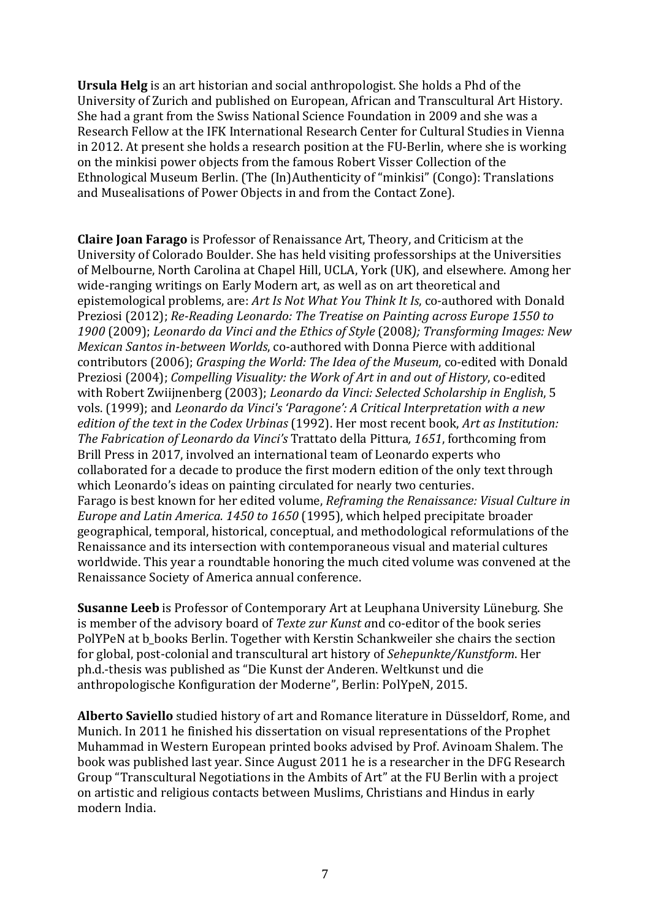**Ursula Helg** is an art historian and social anthropologist. She holds a Phd of the University of Zurich and published on European, African and Transcultural Art History. She had a grant from the Swiss National Science Foundation in 2009 and she was a Research Fellow at the IFK International Research Center for Cultural Studies in Vienna in 2012. At present she holds a research position at the FU-Berlin, where she is working on the minkisi power objects from the famous Robert Visser Collection of the Ethnological Museum Berlin. (The (In)Authenticity of "minkisi" (Congo): Translations and Musealisations of Power Objects in and from the Contact Zone).

**Claire Joan Farago** is Professor of Renaissance Art, Theory, and Criticism at the University of Colorado Boulder. She has held visiting professorships at the Universities of Melbourne, North Carolina at Chapel Hill, UCLA, York (UK), and elsewhere. Among her wide-ranging writings on Early Modern art, as well as on art theoretical and epistemological problems, are: *Art Is Not What You Think It Is*, co-authored with Donald Preziosi (2012); *Re-Reading Leonardo: The Treatise on Painting across Europe 1550 to 1900* (2009); *Leonardo da Vinci and the Ethics of Style* (2008*); Transforming Images: New Mexican Santos in-between Worlds*, co-authored with Donna Pierce with additional contributors (2006); *Grasping the World: The Idea of the Museum*, co-edited with Donald Preziosi (2004); *Compelling Visuality: the Work of Art in and out of History*, co-edited with Robert Zwiijnenberg (2003); *Leonardo da Vinci: Selected Scholarship in English*, 5 vols. (1999); and *Leonardo da Vinci's 'Paragone': A Critical Interpretation with a new edition of the text in the Codex Urbinas* (1992). Her most recent book, *Art as Institution: The Fabrication of Leonardo da Vinci's* Trattato della Pittura*, 1651*, forthcoming from Brill Press in 2017, involved an international team of Leonardo experts who collaborated for a decade to produce the first modern edition of the only text through which Leonardo's ideas on painting circulated for nearly two centuries. Farago is best known for her edited volume, *Reframing the Renaissance: Visual Culture in Europe and Latin America. 1450 to 1650* (1995), which helped precipitate broader geographical, temporal, historical, conceptual, and methodological reformulations of the Renaissance and its intersection with contemporaneous visual and material cultures worldwide. This year a roundtable honoring the much cited volume was convened at the Renaissance Society of America annual conference.

**Susanne Leeb** is Professor of Contemporary Art at Leuphana University Lüneburg. She is member of the advisory board of *Texte zur Kunst a*nd co-editor of the book series PolYPeN at b\_books Berlin. Together with Kerstin Schankweiler she chairs the section for global, post-colonial and transcultural art history of *Sehepunkte/Kunstform*. Her ph.d.-thesis was published as "Die Kunst der Anderen. Weltkunst und die anthropologische Konfiguration der Moderne", Berlin: PolYpeN, 2015.

**Alberto Saviello** studied history of art and Romance literature in Düsseldorf, Rome, and Munich. In 2011 he finished his dissertation on visual representations of the Prophet Muhammad in Western European printed books advised by Prof. Avinoam Shalem. The book was published last year. Since August 2011 he is a researcher in the DFG Research Group "Transcultural Negotiations in the Ambits of Art" at the FU Berlin with a project on artistic and religious contacts between Muslims, Christians and Hindus in early modern India.